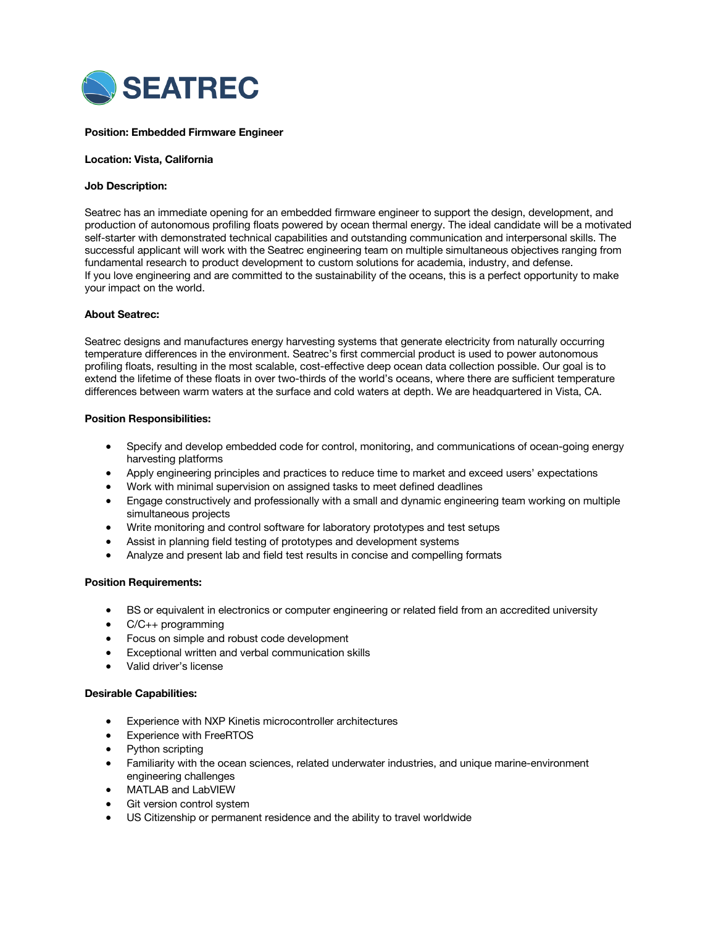

## **Position: Embedded Firmware Engineer**

#### **Location: Vista, California**

### **Job Description:**

Seatrec has an immediate opening for an embedded firmware engineer to support the design, development, and production of autonomous profiling floats powered by ocean thermal energy. The ideal candidate will be a motivated self-starter with demonstrated technical capabilities and outstanding communication and interpersonal skills. The successful applicant will work with the Seatrec engineering team on multiple simultaneous objectives ranging from fundamental research to product development to custom solutions for academia, industry, and defense. If you love engineering and are committed to the sustainability of the oceans, this is a perfect opportunity to make your impact on the world.

### **About Seatrec:**

Seatrec designs and manufactures energy harvesting systems that generate electricity from naturally occurring temperature differences in the environment. Seatrec's first commercial product is used to power autonomous profiling floats, resulting in the most scalable, cost-effective deep ocean data collection possible. Our goal is to extend the lifetime of these floats in over two-thirds of the world's oceans, where there are sufficient temperature differences between warm waters at the surface and cold waters at depth. We are headquartered in Vista, CA.

### **Position Responsibilities:**

- Specify and develop embedded code for control, monitoring, and communications of ocean-going energy harvesting platforms
- Apply engineering principles and practices to reduce time to market and exceed users' expectations
- Work with minimal supervision on assigned tasks to meet defined deadlines
- Engage constructively and professionally with a small and dynamic engineering team working on multiple simultaneous projects
- Write monitoring and control software for laboratory prototypes and test setups
- Assist in planning field testing of prototypes and development systems
- Analyze and present lab and field test results in concise and compelling formats

#### **Position Requirements:**

- BS or equivalent in electronics or computer engineering or related field from an accredited university
- C/C++ programming
- Focus on simple and robust code development
- Exceptional written and verbal communication skills
- Valid driver's license

#### **Desirable Capabilities:**

- Experience with NXP Kinetis microcontroller architectures
- **Experience with FreeRTOS**
- Python scripting
- Familiarity with the ocean sciences, related underwater industries, and unique marine-environment engineering challenges
- MATLAB and LabVIEW
- Git version control system
- US Citizenship or permanent residence and the ability to travel worldwide